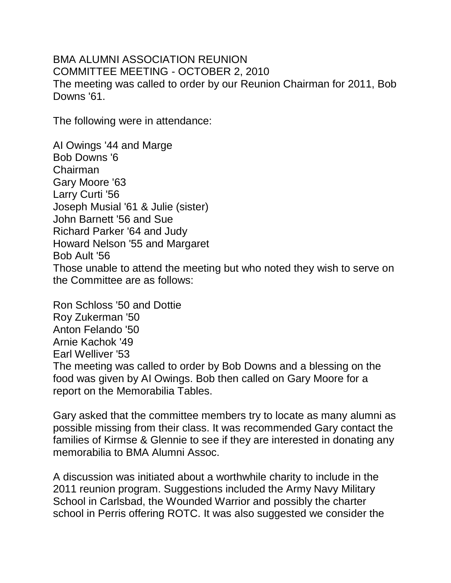BMA ALUMNI ASSOCIATION REUNION COMMITTEE MEETING - OCTOBER 2, 2010 The meeting was called to order by our Reunion Chairman for 2011, Bob Downs '61.

The following were in attendance:

AI Owings '44 and Marge Bob Downs '6 Chairman Gary Moore '63 Larry Curti '56 Joseph Musial '61 & Julie (sister) John Barnett '56 and Sue Richard Parker '64 and Judy Howard Nelson '55 and Margaret Bob Ault '56 Those unable to attend the meeting but who noted they wish to serve on the Committee are as follows:

Ron Schloss '50 and Dottie Roy Zukerman '50 Anton Felando '50 Arnie Kachok '49 Earl Welliver '53 The meeting was called to order by Bob Downs and a blessing on the food was given by AI Owings. Bob then called on Gary Moore for a report on the Memorabilia Tables.

Gary asked that the committee members try to locate as many alumni as possible missing from their class. It was recommended Gary contact the families of Kirmse & Glennie to see if they are interested in donating any memorabilia to BMA Alumni Assoc.

A discussion was initiated about a worthwhile charity to include in the 2011 reunion program. Suggestions included the Army Navy Military School in Carlsbad, the Wounded Warrior and possibly the charter school in Perris offering ROTC. It was also suggested we consider the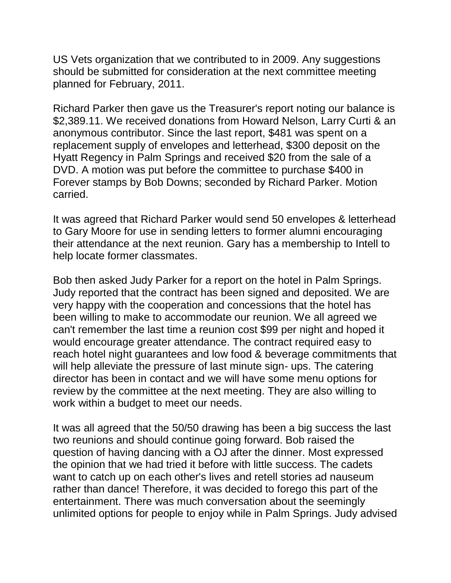US Vets organization that we contributed to in 2009. Any suggestions should be submitted for consideration at the next committee meeting planned for February, 2011.

Richard Parker then gave us the Treasurer's report noting our balance is \$2,389.11. We received donations from Howard Nelson, Larry Curti & an anonymous contributor. Since the last report, \$481 was spent on a replacement supply of envelopes and letterhead, \$300 deposit on the Hyatt Regency in Palm Springs and received \$20 from the sale of a DVD. A motion was put before the committee to purchase \$400 in Forever stamps by Bob Downs; seconded by Richard Parker. Motion carried.

It was agreed that Richard Parker would send 50 envelopes & letterhead to Gary Moore for use in sending letters to former alumni encouraging their attendance at the next reunion. Gary has a membership to Intell to help locate former classmates.

Bob then asked Judy Parker for a report on the hotel in Palm Springs. Judy reported that the contract has been signed and deposited. We are very happy with the cooperation and concessions that the hotel has been willing to make to accommodate our reunion. We all agreed we can't remember the last time a reunion cost \$99 per night and hoped it would encourage greater attendance. The contract required easy to reach hotel night guarantees and low food & beverage commitments that will help alleviate the pressure of last minute sign- ups. The catering director has been in contact and we will have some menu options for review by the committee at the next meeting. They are also willing to work within a budget to meet our needs.

It was all agreed that the 50/50 drawing has been a big success the last two reunions and should continue going forward. Bob raised the question of having dancing with a OJ after the dinner. Most expressed the opinion that we had tried it before with little success. The cadets want to catch up on each other's lives and retell stories ad nauseum rather than dance! Therefore, it was decided to forego this part of the entertainment. There was much conversation about the seemingly unlimited options for people to enjoy while in Palm Springs. Judy advised